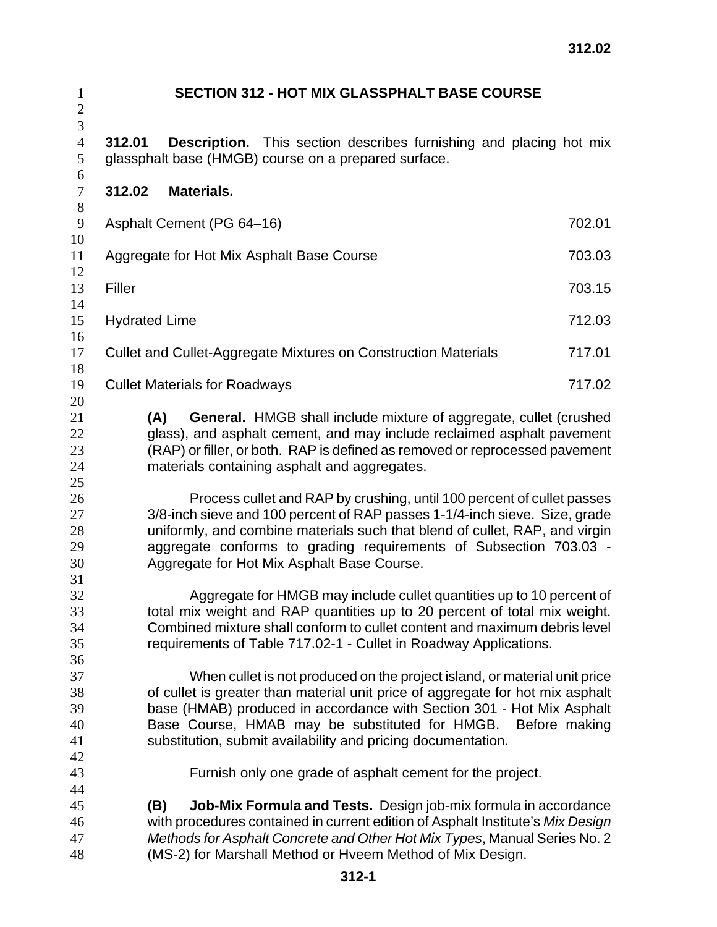| $\mathbf{1}$<br>$\mathbf{2}$          | <b>SECTION 312 - HOT MIX GLASSPHALT BASE COURSE</b>                                                                                                                                                                                                                                                                                                                  |        |
|---------------------------------------|----------------------------------------------------------------------------------------------------------------------------------------------------------------------------------------------------------------------------------------------------------------------------------------------------------------------------------------------------------------------|--------|
| $\mathfrak{Z}$<br>$\overline{4}$<br>5 | <b>Description.</b> This section describes furnishing and placing hot mix<br>312.01<br>glassphalt base (HMGB) course on a prepared surface.                                                                                                                                                                                                                          |        |
| 6<br>$\tau$                           | <b>Materials.</b><br>312.02                                                                                                                                                                                                                                                                                                                                          |        |
| $8\,$<br>$\overline{9}$               | Asphalt Cement (PG 64-16)                                                                                                                                                                                                                                                                                                                                            | 702.01 |
| 10<br>11                              | Aggregate for Hot Mix Asphalt Base Course                                                                                                                                                                                                                                                                                                                            | 703.03 |
| 12<br>13<br>14                        | Filler                                                                                                                                                                                                                                                                                                                                                               | 703.15 |
| 15<br>16                              | <b>Hydrated Lime</b>                                                                                                                                                                                                                                                                                                                                                 | 712.03 |
| 17<br>18                              | Cullet and Cullet-Aggregate Mixtures on Construction Materials                                                                                                                                                                                                                                                                                                       | 717.01 |
| 19<br>20                              | <b>Cullet Materials for Roadways</b>                                                                                                                                                                                                                                                                                                                                 | 717.02 |
| 21<br>22<br>23<br>24<br>25            | <b>General.</b> HMGB shall include mixture of aggregate, cullet (crushed<br>(A)<br>glass), and asphalt cement, and may include reclaimed asphalt pavement<br>(RAP) or filler, or both. RAP is defined as removed or reprocessed pavement<br>materials containing asphalt and aggregates.                                                                             |        |
| 26<br>27<br>28<br>29<br>30<br>31      | Process cullet and RAP by crushing, until 100 percent of cullet passes<br>3/8-inch sieve and 100 percent of RAP passes 1-1/4-inch sieve. Size, grade<br>uniformly, and combine materials such that blend of cullet, RAP, and virgin<br>aggregate conforms to grading requirements of Subsection 703.03 -<br>Aggregate for Hot Mix Asphalt Base Course.               |        |
| 32<br>33<br>34<br>35<br>36            | Aggregate for HMGB may include cullet quantities up to 10 percent of<br>total mix weight and RAP quantities up to 20 percent of total mix weight.<br>Combined mixture shall conform to cullet content and maximum debris level<br>requirements of Table 717.02-1 - Cullet in Roadway Applications.                                                                   |        |
| 37<br>38<br>39<br>40<br>41            | When cullet is not produced on the project island, or material unit price<br>of cullet is greater than material unit price of aggregate for hot mix asphalt<br>base (HMAB) produced in accordance with Section 301 - Hot Mix Asphalt<br>Base Course, HMAB may be substituted for HMGB. Before making<br>substitution, submit availability and pricing documentation. |        |
| 42<br>43<br>44                        | Furnish only one grade of asphalt cement for the project.                                                                                                                                                                                                                                                                                                            |        |
| 45<br>46<br>47<br>48                  | <b>Job-Mix Formula and Tests.</b> Design job-mix formula in accordance<br>(B)<br>with procedures contained in current edition of Asphalt Institute's Mix Design<br>Methods for Asphalt Concrete and Other Hot Mix Types, Manual Series No. 2<br>(MS-2) for Marshall Method or Hveem Method of Mix Design.                                                            |        |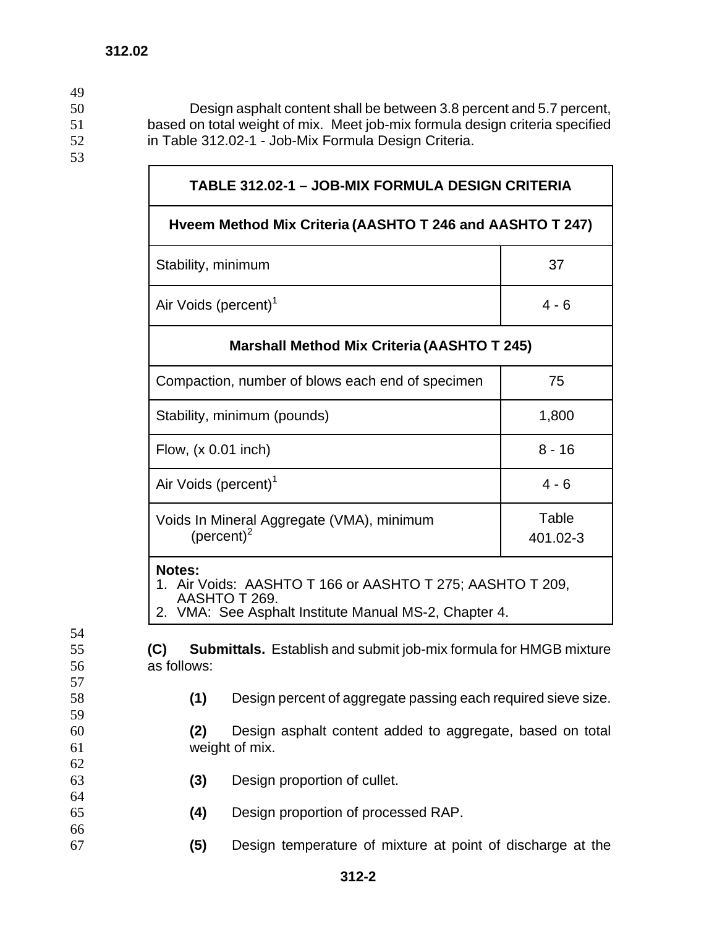50 Design asphalt content shall be between 3.8 percent and 5.7 percent, 51 based on total weight of mix. Meet job-mix formula design criteria specified 52 in Table 312.02-1 - Job-Mix Formula Design Criteria.

53

54

57

59

62

64

66

49

## **TABLE 312.02-1 – JOB-MIX FORMULA DESIGN CRITERIA**

## **Hveem Method Mix Criteria (AASHTO T 246 and AASHTO T 247)**

| Stability, minimum               | 37    |
|----------------------------------|-------|
| Air Voids (percent) <sup>1</sup> | 4 - 6 |

## **Marshall Method Mix Criteria (AASHTO T 245)**

| Compaction, number of blows each end of specimen            | 75                |
|-------------------------------------------------------------|-------------------|
| Stability, minimum (pounds)                                 | 1,800             |
| Flow, $(x 0.01$ inch)                                       | $8 - 16$          |
| Air Voids (percent) <sup>1</sup>                            | $4 - 6$           |
| Voids In Mineral Aggregate (VMA), minimum<br>(percent) $^2$ | Table<br>401.02-3 |
|                                                             |                   |

## **Notes:**

1. Air Voids: AASHTO T 166 or AASHTO T 275; AASHTO T 209, AASHTO T 269.

2. VMA: See Asphalt Institute Manual MS-2, Chapter 4.

55 **(C) Submittals.** Establish and submit job-mix formula for HMGB mixture 56 as follows:

- 
- 58 **(1)** Design percent of aggregate passing each required sieve size.
- 60 **(2)** Design asphalt content added to aggregate, based on total 61 weight of mix.
- 63 **(3)** Design proportion of cullet.
- 65 **(4)** Design proportion of processed RAP.
- 67 **(5)** Design temperature of mixture at point of discharge at the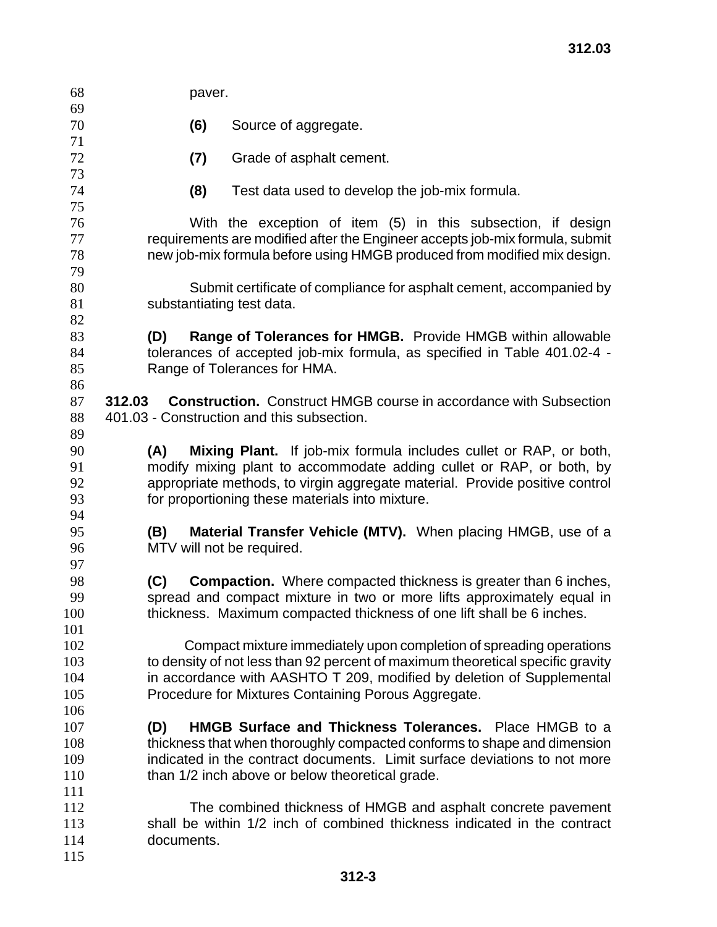| 68         | paver.                                                                                                                                          |  |  |
|------------|-------------------------------------------------------------------------------------------------------------------------------------------------|--|--|
| 69         |                                                                                                                                                 |  |  |
| 70         | (6)<br>Source of aggregate.                                                                                                                     |  |  |
| 71<br>72   |                                                                                                                                                 |  |  |
| 73         | (7)<br>Grade of asphalt cement.                                                                                                                 |  |  |
| 74         | (8)<br>Test data used to develop the job-mix formula.                                                                                           |  |  |
| 75         |                                                                                                                                                 |  |  |
| 76         | With the exception of item (5) in this subsection, if design                                                                                    |  |  |
| 77         | requirements are modified after the Engineer accepts job-mix formula, submit                                                                    |  |  |
| 78         | new job-mix formula before using HMGB produced from modified mix design.                                                                        |  |  |
| 79         |                                                                                                                                                 |  |  |
| 80         | Submit certificate of compliance for asphalt cement, accompanied by                                                                             |  |  |
| 81         | substantiating test data.                                                                                                                       |  |  |
| 82         |                                                                                                                                                 |  |  |
| 83         | Range of Tolerances for HMGB. Provide HMGB within allowable<br>(D)                                                                              |  |  |
| 84         | tolerances of accepted job-mix formula, as specified in Table 401.02-4 -                                                                        |  |  |
| 85         | Range of Tolerances for HMA.                                                                                                                    |  |  |
| 86<br>87   |                                                                                                                                                 |  |  |
| 88         | <b>Construction.</b> Construct HMGB course in accordance with Subsection<br>312.03<br>401.03 - Construction and this subsection.                |  |  |
| 89         |                                                                                                                                                 |  |  |
| 90         | <b>Mixing Plant.</b> If job-mix formula includes cullet or RAP, or both,<br>(A)                                                                 |  |  |
| 91         | modify mixing plant to accommodate adding cullet or RAP, or both, by                                                                            |  |  |
| 92         | appropriate methods, to virgin aggregate material. Provide positive control                                                                     |  |  |
| 93         | for proportioning these materials into mixture.                                                                                                 |  |  |
| 94         |                                                                                                                                                 |  |  |
| 95         | Material Transfer Vehicle (MTV). When placing HMGB, use of a<br>(B)                                                                             |  |  |
| 96         | MTV will not be required.                                                                                                                       |  |  |
| 97         |                                                                                                                                                 |  |  |
| 98<br>99   | (C)<br><b>Compaction.</b> Where compacted thickness is greater than 6 inches,                                                                   |  |  |
| 100        | spread and compact mixture in two or more lifts approximately equal in<br>thickness. Maximum compacted thickness of one lift shall be 6 inches. |  |  |
| 101        |                                                                                                                                                 |  |  |
| 102        | Compact mixture immediately upon completion of spreading operations                                                                             |  |  |
| 103        | to density of not less than 92 percent of maximum theoretical specific gravity                                                                  |  |  |
| 104        | in accordance with AASHTO T 209, modified by deletion of Supplemental                                                                           |  |  |
| 105        | Procedure for Mixtures Containing Porous Aggregate.                                                                                             |  |  |
| 106        |                                                                                                                                                 |  |  |
| 107        | HMGB Surface and Thickness Tolerances. Place HMGB to a<br>(D)                                                                                   |  |  |
| 108        | thickness that when thoroughly compacted conforms to shape and dimension                                                                        |  |  |
| 109        | indicated in the contract documents. Limit surface deviations to not more                                                                       |  |  |
| 110        | than 1/2 inch above or below theoretical grade.                                                                                                 |  |  |
| 111<br>112 |                                                                                                                                                 |  |  |
| 113        | The combined thickness of HMGB and asphalt concrete pavement<br>shall be within 1/2 inch of combined thickness indicated in the contract        |  |  |
| 114        | documents.                                                                                                                                      |  |  |
| 115        |                                                                                                                                                 |  |  |